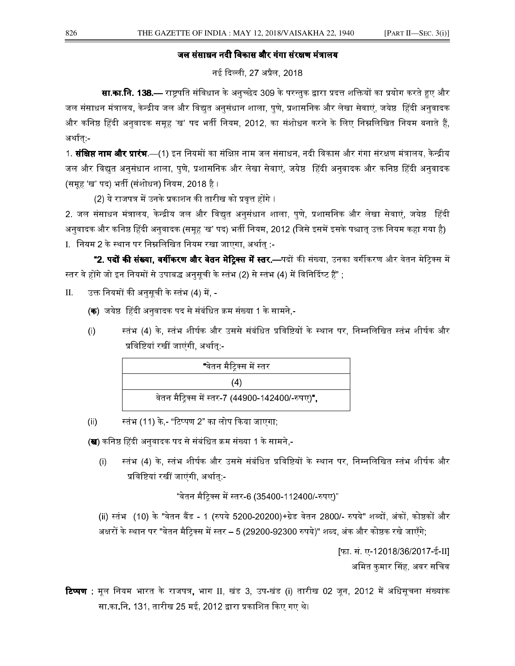## [PART II-SEC.  $3(i)$ ]

## जल संसाधन नदी विकास और गंगा संरक्षण मंत्रालय

नई दिल्ली, 27 अप्रैल, 2018

**सा.का.नि. 138**.— राष्ट्रपति संविधान के अनुच्छेद 309 के परन्तुक द्वारा प्रदत्त शक्तियों का प्रयोग करते हुए और जल संसाधन मंत्रालय, केन्द्रीय जल और विद्युत अनुसंधान शाला, पुणे, प्रशासनिक और लेखा सेवाएं, जयेष्ठ हिंदी अनुवादक और कनिष्ठ हिंदी अनुवादक समूह 'ख' पद भर्ती नियम, 2012, का संशोधन करने के लिए निम्नलिखित नियम बनाते हैं, अर्थात् -

1. **संक्षिप्त नाम और प्रारंभ** —(1) इन नियमों का संक्षिप्त नाम जल संसाधन, नदी विकास और गंगा संरक्षण मंत्रालय, केन्द्रीय जल और विद्युत अनुसंधान शाला, पुणे, प्रशासनिक और लेखा सेवाएं, जयेष्ठ हिंदी अनुवादक और कनिष्ठ हिंदी अनुवादक (समूह 'ख' पद) भर्ती (संशोधन) नियम, 2018 है ।

(2) ये राजपत्र में उनके प्रकाशन की तारीख को प्रवृत्त होंगे ।

2. जल संसाधन मंत्रालय, केन्द्रीय जल और विद्युत अनुसंधान शाला, पुणे, प्रशासनिक और लेखा सेवाएं, जयेष्ठ हिंदी अनुवादक और कनिष्ठ हिंदी अनुवादक (समूह 'ख' पद) भर्ती नियम, 2012 (जिसे इसमें इसके पश्चात् उक्त नियम कहा गया है) <u>I. नियम 2 के स्थान पर निम्नलिखित नियम रखा जाएगा, अर्थात :-</u>

**"2. पदों की संख्या, वर्गीकरण और वेतन मेट्रिक्स में स्तर.—**पदों की संख्या, उनका वर्गीकरण और वेतन मेट्रिक्स में ूस्तर वे होंगे जो इन नियमों से उपाबद्ध अनुसूची के स्तंभ (2) से स्तंभ (4) में विनिर्दिष्ट हैं" :

- उक्त नियमों की अनुसूची के स्तंभ (4) में, -Π.
	- (**क**) जयेष्ठ हिंदी अनुवादक पद से संबंधित क्रम संख्या 1 के सामने,-
	- स्तंभ (4) के. स्तंभ शीर्षक और उससे संबंधित प्रविष्टियों के स्थान पर. निम्नलिखित स्तंभ शीर्षक और  $(1)$ प्रविष्टियां रखीं जाएंगी, अर्थात:-

| "वेतन मैट्रिक्स में स्तर                         |  |
|--------------------------------------------------|--|
| (4)                                              |  |
| वेतन मैट्रिक्स में स्तर-7 (44900-142400/-रुपए)", |  |

स्तंभ (11) के.- "टिप्पण 2" का लोप किया जाएगा:  $(ii)$ 

(**ख**) कनिष्ठ हिंदी अनुवादक पद से संबंधित क्रम संख्या 1 के सामने,-

स्तंभ (4) के. स्तंभ शीर्षक और उससे संबंधित प्रविष्टियों के स्थान पर. निम्नलिखित स्तंभ शीर्षक और  $(i)$ प्रविष्टियां रखीं जाएंगी, अर्थात्:-

"वेतन मैट्रिक्स में स्तर-6 (35400-112400/-रुपए)"

(ii) स्तंभ (10) के "वेतन बैंड - 1 (रुपये 5200-20200)+ग्रेड वेतन 2800/- रुपये" शब्दों, अंकों, कोष्ठकों और अक्षरों के स्थान पर "वेतन मैट्रिक्स में स्तर – 5 (29200-92300 रुपये)" शब्द, अंक और कोष्ठक रखे जाएँगे;

> [फा. सं. ए-12018/36/2017-ई-II] अमित कुमार सिंह, अवर सचिव

**टिप्पण :** मूल नियम भारत के राजपत्र, भाग II, खंड 3, उप-खंड (i) तारीख 02 जून, 2012 में अधिसूचना संख्यांक सा का नि. 131, तारीख 25 मई, 2012 द्वारा प्रकाशित किए गए थे।